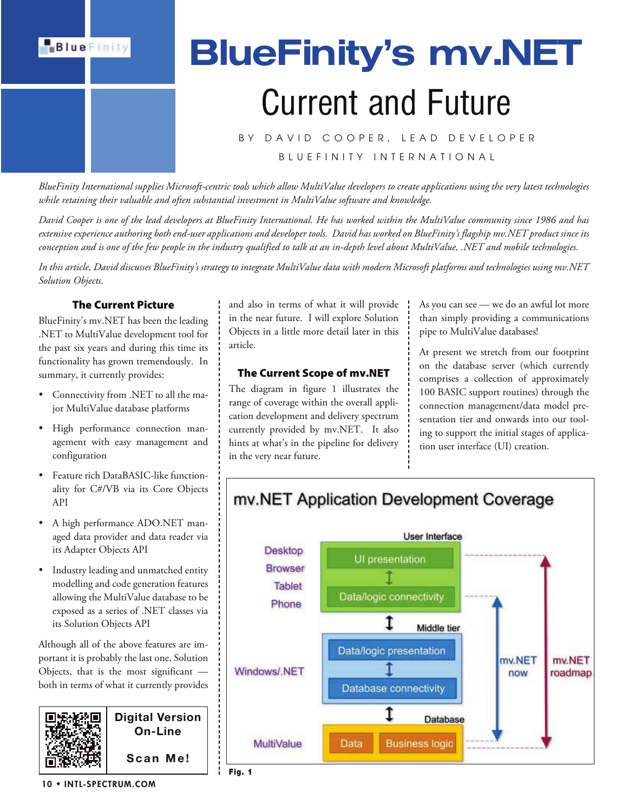

# BlueFinity's mv.NET Current and Future

## BY DAVID COOPER, LEAD DEVELOPER B L U E F I N I T Y I N T E R N A T I O N A L

*BlueFinity International supplies Microsoft-centric tools which allow MultiValue developers to create applications using the very latest technologies while retaining their valuable and often substantial investment in MultiValue software and knowledge.*

*David Cooper is one of the lead developers at BlueFinity International. He has worked within the MultiValue community since 1986 and has extensive experience authoring both end-user applications and developer tools. David has worked on BlueFinity's flagship mv.NET product since its conception and is one of the few people in the industry qualified to talk at an in-depth level about MultiValue, .NET and mobile technologies.*

*In this article, David discusses BlueFinity's strategy to integrate MultiValue data with modern Microsoft platforms and technologies using mv.NET Solution Objects.*

## The Current Picture

BlueFinity's mv.NET has been the leading .NET to MultiValue development tool for the past six years and during this time its functionality has grown tremendously. In summary, it currently provides:

- Connectivity from .NET to all the major MultiValue database platforms
- High performance connection management with easy management and configuration
- Feature rich DataBASIC-like functionality for C#/VB via its Core Objects API
- A high performance ADO.NET managed data provider and data reader via its Adapter Objects API
- Industry leading and unmatched entity modelling and code generation features allowing the MultiValue database to be exposed as a series of .NET classes via its Solution Objects API

Although all of the above features are important it is probably the last one, Solution Objects, that is the most significant both in terms of what it currently provides



and also in terms of what it will provide in the near future. I will explore Solution Objects in a little more detail later in this article.

#### The Current Scope of mv.NET

The diagram in figure 1 illustrates the range of coverage within the overall application development and delivery spectrum currently provided by mv.NET. It also hints at what's in the pipeline for delivery in the very near future.

As you can see — we do an awful lot more than simply providing a communications pipe to MultiValue databases!

At present we stretch from our footprint on the database server (which currently comprises a collection of approximately 100 BASIC support routines) through the connection management/data model presentation tier and onwards into our tooling to support the initial stages of application user interface (UI) creation.



## mv.NET Application Development Coverage

10 ◆ INTL-SPECTRUM.COM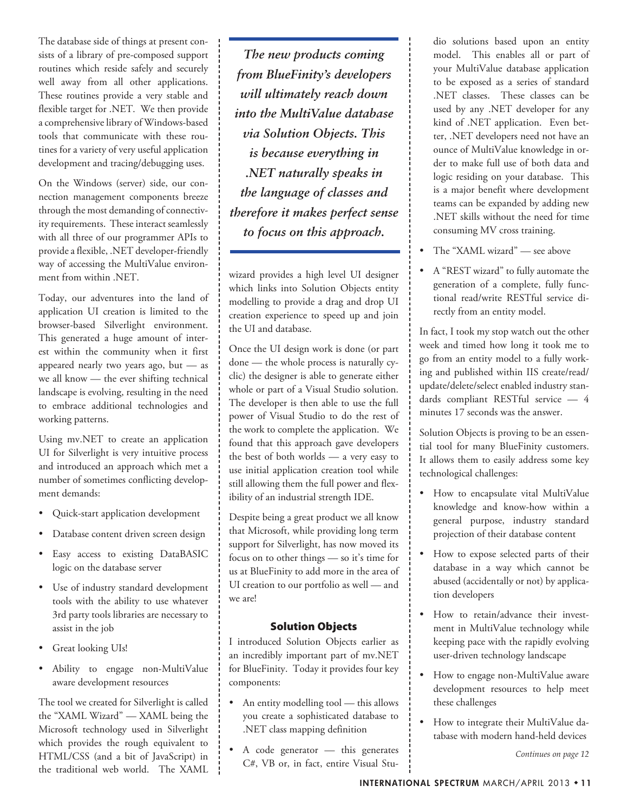The database side of things at present consists of a library of pre-composed support routines which reside safely and securely well away from all other applications. These routines provide a very stable and flexible target for .NET. We then provide a comprehensive library of Windows-based tools that communicate with these routines for a variety of very useful application development and tracing/debugging uses.

On the Windows (server) side, our connection management components breeze through the most demanding of connectivity requirements. These interact seamlessly with all three of our programmer APIs to provide a flexible, .NET developer-friendly way of accessing the MultiValue environment from within .NET.

Today, our adventures into the land of application UI creation is limited to the browser-based Silverlight environment. This generated a huge amount of interest within the community when it first appeared nearly two years ago, but — as we all know — the ever shifting technical landscape is evolving, resulting in the need to embrace additional technologies and working patterns.

Using mv.NET to create an application UI for Silverlight is very intuitive process and introduced an approach which met a number of sometimes conflicting development demands:

- Quick-start application development
- Database content driven screen design
- Easy access to existing DataBASIC logic on the database server
- Use of industry standard development tools with the ability to use whatever 3rd party tools libraries are necessary to assist in the job
- Great looking UIs!
- Ability to engage non-MultiValue aware development resources

The tool we created for Silverlight is called the "XAML Wizard" — XAML being the Microsoft technology used in Silverlight which provides the rough equivalent to HTML/CSS (and a bit of JavaScript) in the traditional web world. The XAML

*The new products coming from BlueFinity's developers will ultimately reach down into the MultiValue database via Solution Objects. This is because everything in .NET naturally speaks in the language of classes and therefore it makes perfect sense to focus on this approach.*

wizard provides a high level UI designer which links into Solution Objects entity modelling to provide a drag and drop UI creation experience to speed up and join the UI and database.

Once the UI design work is done (or part done — the whole process is naturally cyclic) the designer is able to generate either whole or part of a Visual Studio solution. The developer is then able to use the full power of Visual Studio to do the rest of the work to complete the application. We found that this approach gave developers the best of both worlds — a very easy to use initial application creation tool while still allowing them the full power and flexibility of an industrial strength IDE.

Despite being a great product we all know that Microsoft, while providing long term support for Silverlight, has now moved its focus on to other things — so it's time for us at BlueFinity to add more in the area of UI creation to our portfolio as well — and we are!

## Solution Objects

I introduced Solution Objects earlier as an incredibly important part of mv.NET for BlueFinity. Today it provides four key components:

- An entity modelling tool this allows you create a sophisticated database to .NET class mapping definition
- A code generator this generates C#, VB or, in fact, entire Visual Stu-

dio solutions based upon an entity model. This enables all or part of your MultiValue database application to be exposed as a series of standard .NET classes. These classes can be used by any .NET developer for any kind of .NET application. Even better, .NET developers need not have an ounce of MultiValue knowledge in order to make full use of both data and logic residing on your database. This is a major benefit where development teams can be expanded by adding new .NET skills without the need for time consuming MV cross training.

- The "XAML wizard" see above
- A "REST wizard" to fully automate the generation of a complete, fully functional read/write RESTful service directly from an entity model.

In fact, I took my stop watch out the other week and timed how long it took me to go from an entity model to a fully working and published within IIS create/read/ update/delete/select enabled industry standards compliant RESTful service — 4 minutes 17 seconds was the answer.

Solution Objects is proving to be an essential tool for many BlueFinity customers. It allows them to easily address some key technological challenges:

- How to encapsulate vital MultiValue knowledge and know-how within a general purpose, industry standard projection of their database content
- How to expose selected parts of their database in a way which cannot be abused (accidentally or not) by application developers
- How to retain/advance their investment in MultiValue technology while keeping pace with the rapidly evolving user-driven technology landscape
- How to engage non-MultiValue aware development resources to help meet these challenges
- How to integrate their MultiValue database with modern hand-held devices

*Continues on page 12*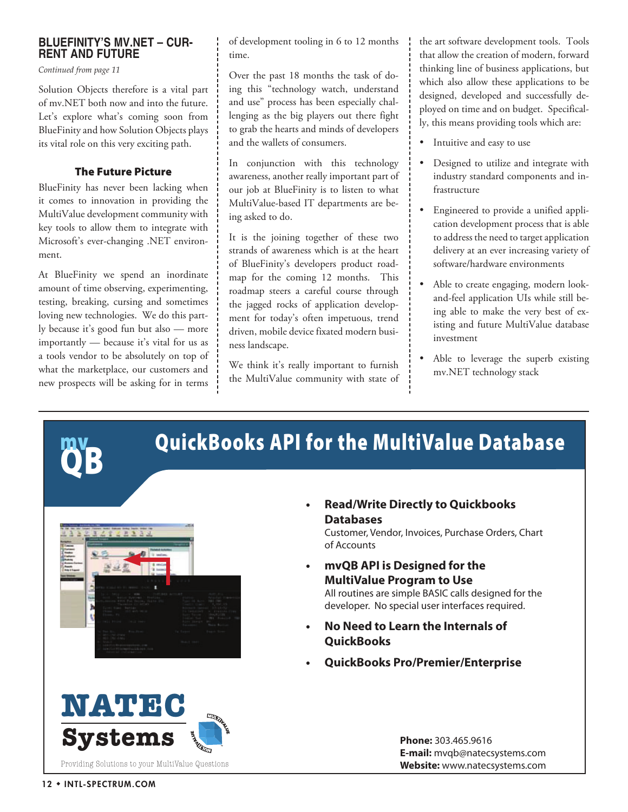## **BLUEFINITY'S MV.NET – CUR-RENT AND FUTURE**

*Continued from page 11*

Solution Objects therefore is a vital part of mv.NET both now and into the future. Let's explore what's coming soon from BlueFinity and how Solution Objects plays its vital role on this very exciting path.

## The Future Picture

BlueFinity has never been lacking when it comes to innovation in providing the MultiValue development community with key tools to allow them to integrate with Microsoft's ever-changing .NET environment.

At BlueFinity we spend an inordinate amount of time observing, experimenting, testing, breaking, cursing and sometimes loving new technologies. We do this partly because it's good fun but also — more importantly — because it's vital for us as a tools vendor to be absolutely on top of what the marketplace, our customers and new prospects will be asking for in terms

QB

of development tooling in 6 to 12 months time.

Over the past 18 months the task of doing this "technology watch, understand and use" process has been especially challenging as the big players out there fight to grab the hearts and minds of developers and the wallets of consumers.

In conjunction with this technology awareness, another really important part of our job at BlueFinity is to listen to what MultiValue-based IT departments are being asked to do.

It is the joining together of these two strands of awareness which is at the heart of BlueFinity's developers product roadmap for the coming 12 months. This roadmap steers a careful course through the jagged rocks of application development for today's often impetuous, trend driven, mobile device fixated modern business landscape.

We think it's really important to furnish the MultiValue community with state of the art software development tools. Tools that allow the creation of modern, forward thinking line of business applications, but which also allow these applications to be designed, developed and successfully deployed on time and on budget. Specifically, this means providing tools which are:

- Intuitive and easy to use
- Designed to utilize and integrate with industry standard components and infrastructure
- Engineered to provide a unified application development process that is able to address the need to target application delivery at an ever increasing variety of software/hardware environments
- Able to create engaging, modern lookand-feel application UIs while still being able to make the very best of existing and future MultiValue database investment
- Able to leverage the superb existing mv.NET technology stack

QuickBooks API for the MultiValue Database

**t Read/Write Directly to Quickbooks Databases** 

Customer, Vendor, Invoices, Purchase Orders, Chart of Accounts

**t mvQB API is Designed for the MultiValue Program to Use**

All routines are simple BASIC calls designed for the developer. No special user interfaces required.

- **t No Need to Learn the Internals of QuickBooks**
- **t QuickBooks Pro/Premier/Enterprise**

**Systems NATEC** Providing Solutions to your MultiValue Questions

**Phone:** 303.465.9616 **E-mail:** mvqb@natecsystems.com **Website:** www.natecsystems.com